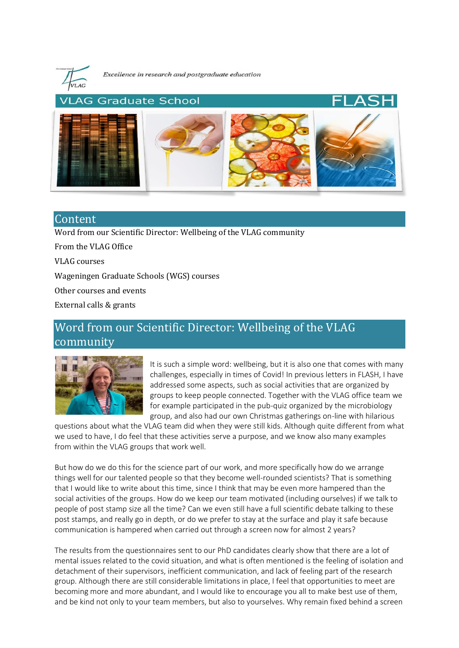

Excellence in research and postgraduate education



# Content

[Word from our Scientific Director: Wellbeing of the VLAG community](#page-0-0)

[From the VLAG Office](#page-1-0) [VLAG courses](#page-3-0) [Wageningen Graduate Schools \(WGS\) courses](#page-3-1) [Other courses and events](#page-3-2) [External calls & grants](#page-4-0)

# <span id="page-0-0"></span>Word from our Scientific Director: Wellbeing of the VLAG community



It is such a simple word: wellbeing, but it is also one that comes with many challenges, especially in times of Covid! In previous letters in FLASH, I have addressed some aspects, such as social activities that are organized by groups to keep people connected. Together with the VLAG office team we for example participated in the pub-quiz organized by the microbiology group, and also had our own Christmas gatherings on-line with hilarious

questions about what the VLAG team did when they were still kids. Although quite different from what we used to have, I do feel that these activities serve a purpose, and we know also many examples from within the VLAG groups that work well.

But how do we do this for the science part of our work, and more specifically how do we arrange things well for our talented people so that they become well-rounded scientists? That is something that I would like to write about this time, since I think that may be even more hampered than the social activities of the groups. How do we keep our team motivated (including ourselves) if we talk to people of post stamp size all the time? Can we even still have a full scientific debate talking to these post stamps, and really go in depth, or do we prefer to stay at the surface and play it safe because communication is hampered when carried out through a screen now for almost 2 years?

The results from the questionnaires sent to our PhD candidates clearly show that there are a lot of mental issues related to the covid situation, and what is often mentioned is the feeling of isolation and detachment of their supervisors, inefficient communication, and lack of feeling part of the research group. Although there are still considerable limitations in place, I feel that opportunities to meet are becoming more and more abundant, and I would like to encourage you all to make best use of them, and be kind not only to your team members, but also to yourselves. Why remain fixed behind a screen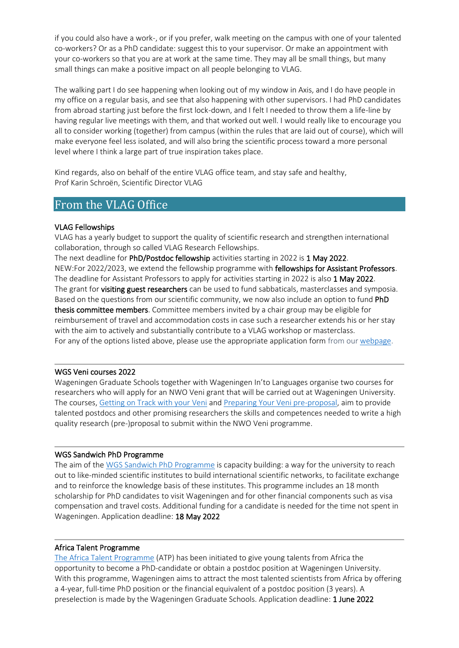if you could also have a work-, or if you prefer, walk meeting on the campus with one of your talented co-workers? Or as a PhD candidate: suggest this to your supervisor. Or make an appointment with your co-workers so that you are at work at the same time. They may all be small things, but many small things can make a positive impact on all people belonging to VLAG.

The walking part I do see happening when looking out of my window in Axis, and I do have people in my office on a regular basis, and see that also happening with other supervisors. I had PhD candidates from abroad starting just before the first lock-down, and I felt I needed to throw them a life-line by having regular live meetings with them, and that worked out well. I would really like to encourage you all to consider working (together) from campus (within the rules that are laid out of course), which will make everyone feel less isolated, and will also bring the scientific process toward a more personal level where I think a large part of true inspiration takes place.

Kind regards, also on behalf of the entire VLAG office team, and stay safe and healthy, Prof Karin Schroën, Scientific Director VLAG

# <span id="page-1-0"></span>From the VLAG Office

#### VLAG Fellowships

VLAG has a yearly budget to support the quality of scientific research and strengthen international collaboration, through so called VLAG Research Fellowships.

The next deadline for PhD/Postdoc fellowship activities starting in 2022 is 1 May 2022. NEW:For 2022/2023, we extend the fellowship programme with fellowships for Assistant Professors. The deadline for Assistant Professors to apply for activities starting in 2022 is also 1 May 2022. The grant for visiting guest researchers can be used to fund sabbaticals, masterclasses and symposia. Based on the questions from our scientific community, we now also include an option to fund PhD thesis committee members. Committee members invited by a chair group may be eligible for reimbursement of travel and accommodation costs in case such a researcher extends his or her stay with the aim to actively and substantially contribute to a VLAG workshop or masterclass. For any of the options listed above, please use the appropriate application form from our [webpage.](https://www.vlaggraduateschool.nl/en/research-1/VLAG-Calls.htm)

#### WGS Veni courses 2022

Wageningen Graduate Schools together with Wageningen In'to Languages organise two courses for researchers who will apply for an NWO Veni grant that will be carried out at Wageningen University. The courses, [Getting on Track with your Veni](https://wgs.crs.wur.nl/courses/details/113) and [Preparing Your Veni pre-proposal,](https://wgs.crs.wur.nl/courses/details/314) aim to provide talented postdocs and other promising researchers the skills and competences needed to write a high quality research (pre-)proposal to submit within the NWO Veni programme.

 $\overline{\phantom{a}}$ 

 $\overline{\phantom{a}}$ 

#### WGS Sandwich PhD Programme

The aim of th[e WGS Sandwich PhD Programme](https://www.wur.nl/en/Education-Programmes/PhD-Programme/Funding-your-PhD/WGS-Sandwich-PhD-programme/Call-for-proposals-for-the-2022-round-of-the-Wageningen-Graduate-Schools-Sandwich-PhD-programme.htm) is capacity building: a way for the university to reach out to like-minded scientific institutes to build international scientific networks, to facilitate exchange and to reinforce the knowledge basis of these institutes. This programme includes an 18 month scholarship for PhD candidates to visit Wageningen and for other financial components such as visa compensation and travel costs. Additional funding for a candidate is needed for the time not spent in Wageningen. Application deadline: 18 May 2022

### Africa Talent Programme

[The Africa Talent Programme](https://www.wur.nl/en/Education-Programmes/PhD-Programme/Funding-your-PhD/AfricaTalentProgramme.htm) (ATP) has been initiated to give young talents from Africa the opportunity to become a PhD-candidate or obtain a postdoc position at Wageningen University. With this programme, Wageningen aims to attract the most talented scientists from Africa by offering a 4-year, full-time PhD position or the financial equivalent of a postdoc position (3 years). A preselection is made by the Wageningen Graduate Schools. Application deadline: 1 June 2022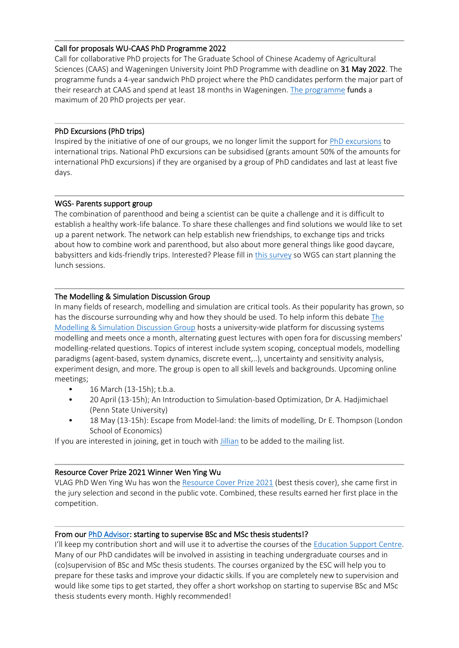#### Call for proposals WU-CAAS PhD Programme 2022

Call for collaborative PhD projects for The Graduate School of Chinese Academy of Agricultural Sciences (CAAS) and Wageningen University Joint PhD Programme with deadline on 31 May 2022. The programme funds a 4-year sandwich PhD project where the PhD candidates perform the major part of their research at CAAS and spend at least 18 months in Wageningen[. The programme](file://///WURNET.NL/Homes/bree014/AppData/FolderRedirection/Desktop/website/WU-CAAS%20call.htm) funds a maximum of 20 PhD projects per year.

 $\overline{\phantom{a}}$ 

### PhD Excursions (PhD trips)

Inspired by the initiative of one of our groups, we no longer limit the support fo[r PhD excursions](https://www.vlaggraduateschool.nl/en/phd-candidates/phd_excursions-1.htm) to international trips. National PhD excursions can be subsidised (grants amount 50% of the amounts for international PhD excursions) if they are organised by a group of PhD candidates and last at least five days.

#### WGS- Parents support group

The combination of parenthood and being a scientist can be quite a challenge and it is difficult to establish a healthy work-life balance. To share these challenges and find solutions we would like to set up a parent network. The network can help establish new friendships, to exchange tips and tricks about how to combine work and parenthood, but also about more general things like good daycare, babysitters and kids-friendly trips. Interested? Please fill in [this survey](https://forms.office.com/Pages/ResponsePage.aspx?id=5TfRJx92wU2viNJkMKuxj92g1CMbQolNiVZeHSMikoJUQUs1WDY3TkJWU01XSE4ySDA1TEgxVUY1US4u) so WGS can start planning the lunch sessions.

### The Modelling & Simulation Discussion Group

In many fields of research, modelling and simulation are critical tools. As their popularity has grown, so has the discourse surrounding why and how they should be used. To help inform this debate [The](https://teams.microsoft.com/l/team/19%3aQxrcP9Ku96fztQI3l4zw-G3Gr-qvvFK1XTYwp87Do-E1%40thread.tacv2/conversations?groupId=8bd1d285-fbce-4342-8353-243f4500986d&tenantId=27d137e5-761f-4dc1-af88-d26430abb18f)  [Modelling & Simulation Discussion Group](https://teams.microsoft.com/l/team/19%3aQxrcP9Ku96fztQI3l4zw-G3Gr-qvvFK1XTYwp87Do-E1%40thread.tacv2/conversations?groupId=8bd1d285-fbce-4342-8353-243f4500986d&tenantId=27d137e5-761f-4dc1-af88-d26430abb18f) hosts a university-wide platform for discussing systems modelling and meets once a month, alternating guest lectures with open fora for discussing members' modelling-related questions. Topics of interest include system scoping, conceptual models, modelling paradigms (agent-based, system dynamics, discrete event,..), uncertainty and sensitivity analysis, experiment design, and more. The group is open to all skill levels and backgrounds. Upcoming online meetings;

- 16 March (13-15h); t.b.a.
- 20 April (13-15h); An Introduction to Simulation-based Optimization, Dr A. Hadjimichael (Penn State University)
- 18 May (13-15h): Escape from Model-land: the limits of modelling, Dr E. Thompson (London School of Economics)

If you are interested in joining, get in touch with *Jillian* to be added to the mailing list.

#### Resource Cover Prize 2021 Winner Wen Ying Wu

VLAG PhD Wen Ying Wu has won the [Resource Cover Prize 2021](https://www.resource-online.nl/index.php/2022/01/12/wen-ying-wu-wins-cover-prize/?lang=en) (best thesis cover), she came first in the jury selection and second in the public vote. Combined, these results earned her first place in the competition.

#### From ou[r PhD Advisor:](mailto:jochem.jonkman@wur.nl) starting to supervise BSc and MSc thesis students!?

I'll keep my contribution short and will use it to advertise the courses of the [Education Support Centre.](https://esd.crs.wur.nl/) Many of our PhD candidates will be involved in assisting in teaching undergraduate courses and in (co)supervision of BSc and MSc thesis students. The courses organized by the ESC will help you to prepare for these tasks and improve your didactic skills. If you are completely new to supervision and would like some tips to get started, they offer a short workshop on starting to supervise BSc and MSc thesis students every month. Highly recommended!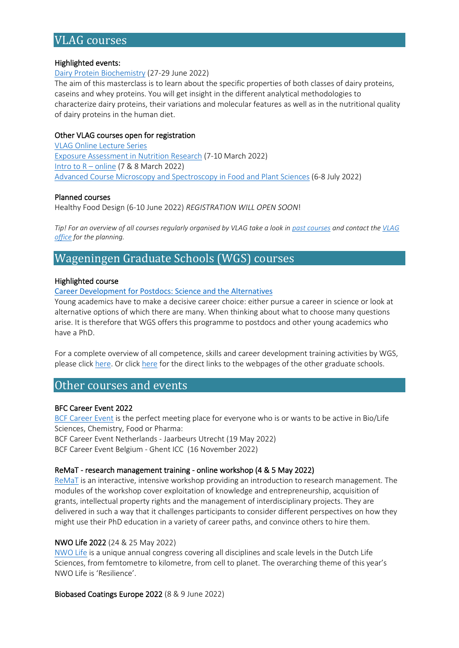# <span id="page-3-0"></span>VLAG courses

#### Highlighted events:

[Dairy Protein Biochemistry](https://www.vlaggraduateschool.nl/en/courses/course/DPB22.htm) (27-29 June 2022)

The aim of this masterclass is to learn about the specific properties of both classes of dairy proteins, caseins and whey proteins. You will get insight in the different analytical methodologies to characterize dairy proteins, their variations and molecular features as well as in the nutritional quality of dairy proteins in the human diet.

#### Other VLAG courses open for registration

[VLAG Online Lecture Series](https://www.vlaggraduateschool.nl/en/courses/course/Online-Lecture-Series-2.htm) [Exposure Assessment in Nutrition Research](https://www.vlaggraduateschool.nl/en/courses/course/expo22.htm) (7-10 March 2022) [Intro to R](https://vlag.crs.wur.nl/courses/details/296/) – online (7 & 8 March 2022) [Advanced Course Microscopy and Spectroscopy in Food and Plant Sciences](https://www.vlaggraduateschool.nl/en/courses/course/Microscopy-and-Spectroscopy-in-Food-and-Plant-Sciences22.htm) (6-8 July 2022)

#### Planned courses

Healthy Food Design (6-10 June 2022) *REGISTRATION WILL OPEN SOON*!

*Tip! For an overview of all courses regularly organised by VLAG take a look in [past courses](https://www.vlaggraduateschool.nl/en/courses/Scientific-courses/past_courses.htm) and contact the* VLAG *[office](mailto:vlag@wur.nl) for the planning.*

# <span id="page-3-1"></span>Wageningen Graduate Schools (WGS) courses

#### Highlighted course

#### [Career Development for Postdocs: Science and the Alternatives](https://wgs.crs.wur.nl/courses/details/99/)

Young academics have to make a decisive career choice: either pursue a career in science or look at alternative options of which there are many. When thinking about what to choose many questions arise. It is therefore that WGS offers this programme to postdocs and other young academics who have a PhD.

For a complete overview of all competence, skills and career development training activities by WGS, please clic[k here.](https://eur03.safelinks.protection.outlook.com/?url=https%3A%2F%2Fwgs.crs.wur.nl%2F&data=04%7C01%7Cvlag%40wur.nl%7C8801fdaec24248612fb708d8dfd6fb8e%7C27d137e5761f4dc1af88d26430abb18f%7C0%7C0%7C637505461792122326%7CUnknown%7CTWFpbGZsb3d8eyJWIjoiMC4wLjAwMDAiLCJQIjoiV2luMzIiLCJBTiI6Ik1haWwiLCJXVCI6Mn0%3D%7C1000&sdata=hnF2puwRqZB3G4BfugCi%2BOBY%2Bc%2FUBPwmM9hvhAgqzNc%3D&reserved=0) Or click [here](https://www.vlaggraduateschool.nl/en/courses/External-courses.htm) for the direct links to the webpages of the other graduate schools.

# <span id="page-3-2"></span>Other courses and events

#### BFC Career Event 2022

[BCF Career Event](https://www.hyphenprojects.nl/bcfcareerevent) is the perfect meeting place for everyone who is or wants to be active in Bio/Life Sciences, Chemistry, Food or Pharma: BCF Career Event Netherlands - Jaarbeurs Utrecht (19 May 2022)

BCF Career Event Belgium - Ghent ICC (16 November 2022)

#### ReMaT - research management training - online workshop (4 & 5 May 2022)

[ReMaT](https://tutech.de/en/termine-veranstaltungen/remat/) is an interactive, intensive workshop providing an introduction to research management. The modules of the workshop cover exploitation of knowledge and entrepreneurship, acquisition of grants, intellectual property rights and the management of interdisciplinary projects. They are delivered in such a way that it challenges participants to consider different perspectives on how they might use their PhD education in a variety of career paths, and convince others to hire them.

#### NWO Life 2022 (24 & 25 May 2022)

[NWO Life](https://nwolife.nl/) is a unique annual congress covering all disciplines and scale levels in the Dutch Life Sciences, from femtometre to kilometre, from cell to planet. The overarching theme of this year's NWO Life is 'Resilience'.

Biobased Coatings Europe 2022 (8 & 9 June 2022)